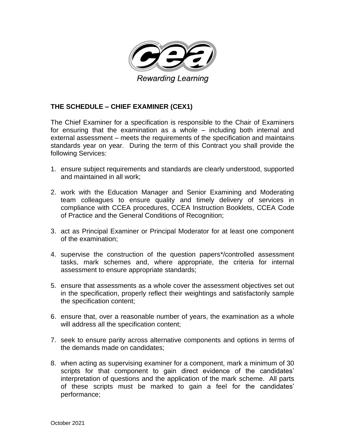

# **THE SCHEDULE – CHIEF EXAMINER (CEX1)**

The Chief Examiner for a specification is responsible to the Chair of Examiners for ensuring that the examination as a whole – including both internal and external assessment – meets the requirements of the specification and maintains standards year on year. During the term of this Contract you shall provide the following Services:

- 1. ensure subject requirements and standards are clearly understood, supported and maintained in all work;
- 2. work with the Education Manager and Senior Examining and Moderating team colleagues to ensure quality and timely delivery of services in compliance with CCEA procedures, CCEA Instruction Booklets, CCEA Code of Practice and the General Conditions of Recognition;
- 3. act as Principal Examiner or Principal Moderator for at least one component of the examination;
- 4. supervise the construction of the question papers\*/controlled assessment tasks, mark schemes and, where appropriate, the criteria for internal assessment to ensure appropriate standards;
- 5. ensure that assessments as a whole cover the assessment objectives set out in the specification, properly reflect their weightings and satisfactorily sample the specification content;
- 6. ensure that, over a reasonable number of years, the examination as a whole will address all the specification content;
- 7. seek to ensure parity across alternative components and options in terms of the demands made on candidates;
- 8. when acting as supervising examiner for a component, mark a minimum of 30 scripts for that component to gain direct evidence of the candidates' interpretation of questions and the application of the mark scheme. All parts of these scripts must be marked to gain a feel for the candidates' performance;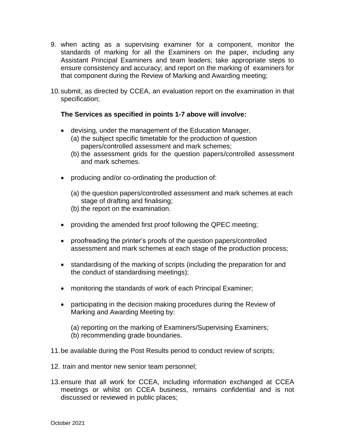- 9. when acting as a supervising examiner for a component, monitor the standards of marking for all the Examiners on the paper, including any Assistant Principal Examiners and team leaders; take appropriate steps to ensure consistency and accuracy; and report on the marking of examiners for that component during the Review of Marking and Awarding meeting;
- 10.submit, as directed by CCEA, an evaluation report on the examination in that specification;

## **The Services as specified in points 1-7 above will involve:**

- devising, under the management of the Education Manager, (a) the subject specific timetable for the production of question papers/controlled assessment and mark schemes;
	- (b) the assessment grids for the question papers/controlled assessment and mark schemes.
- producing and/or co-ordinating the production of:
	- (a) the question papers/controlled assessment and mark schemes at each stage of drafting and finalising;
	- (b) the report on the examination.
- providing the amended first proof following the QPEC meeting;
- proofreading the printer's proofs of the question papers/controlled assessment and mark schemes at each stage of the production process;
- standardising of the marking of scripts (including the preparation for and the conduct of standardising meetings);
- monitoring the standards of work of each Principal Examiner;
- participating in the decision making procedures during the Review of Marking and Awarding Meeting by:

(a) reporting on the marking of Examiners/Supervising Examiners; (b) recommending grade boundaries.

- 11.be available during the Post Results period to conduct review of scripts;
- 12. train and mentor new senior team personnel;
- 13.ensure that all work for CCEA, including information exchanged at CCEA meetings or whilst on CCEA business, remains confidential and is not discussed or reviewed in public places;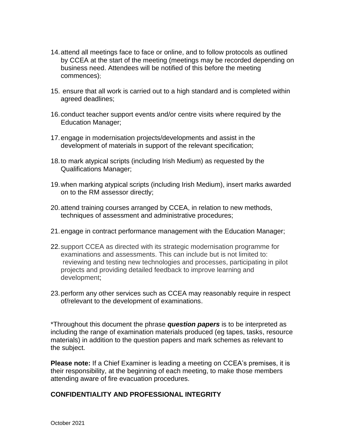- 14.attend all meetings face to face or online, and to follow protocols as outlined by CCEA at the start of the meeting (meetings may be recorded depending on business need. Attendees will be notified of this before the meeting commences);
- 15. ensure that all work is carried out to a high standard and is completed within agreed deadlines;
- 16.conduct teacher support events and/or centre visits where required by the Education Manager;
- 17.engage in modernisation projects/developments and assist in the development of materials in support of the relevant specification;
- 18.to mark atypical scripts (including Irish Medium) as requested by the Qualifications Manager;
- 19.when marking atypical scripts (including Irish Medium), insert marks awarded on to the RM assessor directly;
- 20.attend training courses arranged by CCEA, in relation to new methods, techniques of assessment and administrative procedures;
- 21.engage in contract performance management with the Education Manager;
- 22.support CCEA as directed with its strategic modernisation programme for examinations and assessments. This can include but is not limited to: reviewing and testing new technologies and processes, participating in pilot projects and providing detailed feedback to improve learning and development;
- 23.perform any other services such as CCEA may reasonably require in respect of/relevant to the development of examinations.

\*Throughout this document the phrase *question papers* is to be interpreted as including the range of examination materials produced (eg tapes, tasks, resource materials) in addition to the question papers and mark schemes as relevant to the subject.

**Please note:** If a Chief Examiner is leading a meeting on CCEA's premises, it is their responsibility, at the beginning of each meeting, to make those members attending aware of fire evacuation procedures.

### **CONFIDENTIALITY AND PROFESSIONAL INTEGRITY**